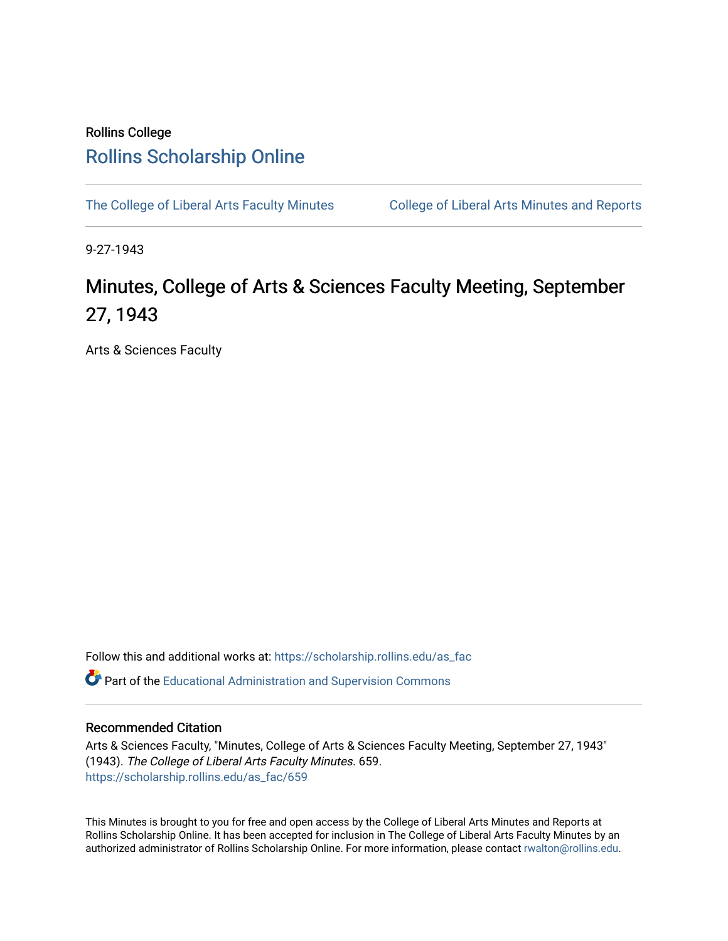## Rollins College [Rollins Scholarship Online](https://scholarship.rollins.edu/)

[The College of Liberal Arts Faculty Minutes](https://scholarship.rollins.edu/as_fac) College of Liberal Arts Minutes and Reports

9-27-1943

## Minutes, College of Arts & Sciences Faculty Meeting, September 27, 1943

Arts & Sciences Faculty

Follow this and additional works at: [https://scholarship.rollins.edu/as\\_fac](https://scholarship.rollins.edu/as_fac?utm_source=scholarship.rollins.edu%2Fas_fac%2F659&utm_medium=PDF&utm_campaign=PDFCoverPages) 

**P** Part of the [Educational Administration and Supervision Commons](http://network.bepress.com/hgg/discipline/787?utm_source=scholarship.rollins.edu%2Fas_fac%2F659&utm_medium=PDF&utm_campaign=PDFCoverPages)

## Recommended Citation

Arts & Sciences Faculty, "Minutes, College of Arts & Sciences Faculty Meeting, September 27, 1943" (1943). The College of Liberal Arts Faculty Minutes. 659. [https://scholarship.rollins.edu/as\\_fac/659](https://scholarship.rollins.edu/as_fac/659?utm_source=scholarship.rollins.edu%2Fas_fac%2F659&utm_medium=PDF&utm_campaign=PDFCoverPages) 

This Minutes is brought to you for free and open access by the College of Liberal Arts Minutes and Reports at Rollins Scholarship Online. It has been accepted for inclusion in The College of Liberal Arts Faculty Minutes by an authorized administrator of Rollins Scholarship Online. For more information, please contact [rwalton@rollins.edu](mailto:rwalton@rollins.edu).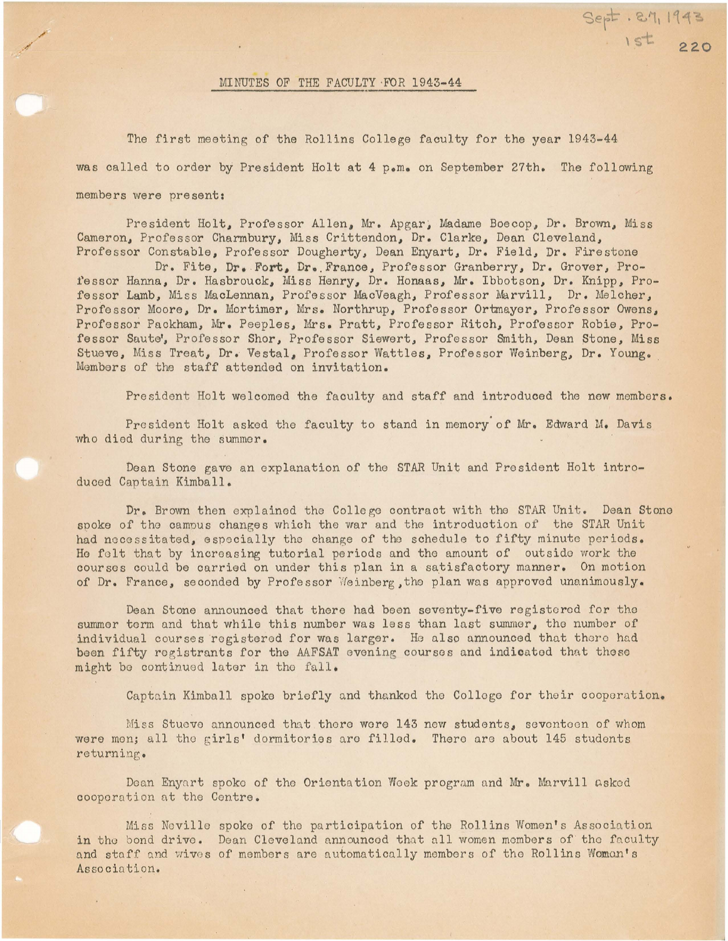## MINUTES OF THE FACULTY ·FOR 1943-44

The first meeting of the Rollins College faculty for the year 1943-44 was called to order by President Holt at 4 p.m. on September 27th. The following members were present:

\\$ **220** 

President Holt, Professor Allen, Mr. Apgar, Madame Boecop, Dr. Brown, Miss Cameron, Professor Charmbury, Miss Crittendon, Dr. Clarke, Dean Cleveland, Professor Constable, Professor Dougherty, Dean Enyart, Dr. Field, Dr. Firestone

Dr. Fite, **Dr • . Fort,** Dr • . France, Professor Granberry, Dr. Grover, Proi'essor Hanna, Dr. Hasbrouck, Miss Henry., Dr. Honaas, Mr. Ibbotson., Dr. Knipp., Professor Lamb., Miss MacLennan, Professor MacVeagh., Professor Marvill, Dr. Melcher, Professor Moore, Dr. Mortimer, Mrs. Northrup, Professor Ortmayer, Professor Owens, Professor Packham, Mr. Peeples, Mrs. Pratt, Professor Ritch, Professor Robie, Professor Saute', Professor Shor, Professor Siewert, Professor Smith, Dean Stone, Miss Stueve, Miss Treat, Dr. Vestal, Professor Wattles, Professor Weinberg, Dr. Young. Members of the staff attended on invitation.

President Holt welcomed the faculty and staff and introduced the new members.

President Holt asked the faculty to stand in memory of Mr. Edward M. Davis who died during the summer.

Dean Stone gave an explanation of the STAR Unit and President Holt introduced Captain Kimball.

Dr. Brown then explained the College contract with the STAR Unit. Dean Stone spoke of the campus changes which the war and the introduction of the STAR Unit had necessitated, especially the change of the schedule to fifty minute periods. He felt that by increasing tutorial periods and the amount of outside work the courses could be carried on under this plan in a satisfactory manner. On motion of Dr. France, seconded by Professor Weinberg, the plan was approved unanimously.

Dean Stone announced that there had been seventy-five registered for the summer term and that while this number was less than last summer, the number of individual courses registered for was larger. He also announced that there had been fifty registrants for the AAFSAT evening courses and indicated that these might be continued later in the fall.

Captain Kimball spoke briefly and thanked the College for their cooperation.

Miss Stueve announced that thoro wore 143 now students, sevontoon of whom were mon; all the girls' dormitories are filled. There are about 145 students returning .

Dean Enyart spoke of the Orientation Week program and Mr. Marvill asked cooperation at the Centre.

Miss Neville spoke of the participation of the Rollins Women's Association in the bond drive. Dean Cleveland announced that all women members of the faculty and staff and wives of members are automatically members of the Rollins Woman's Association.